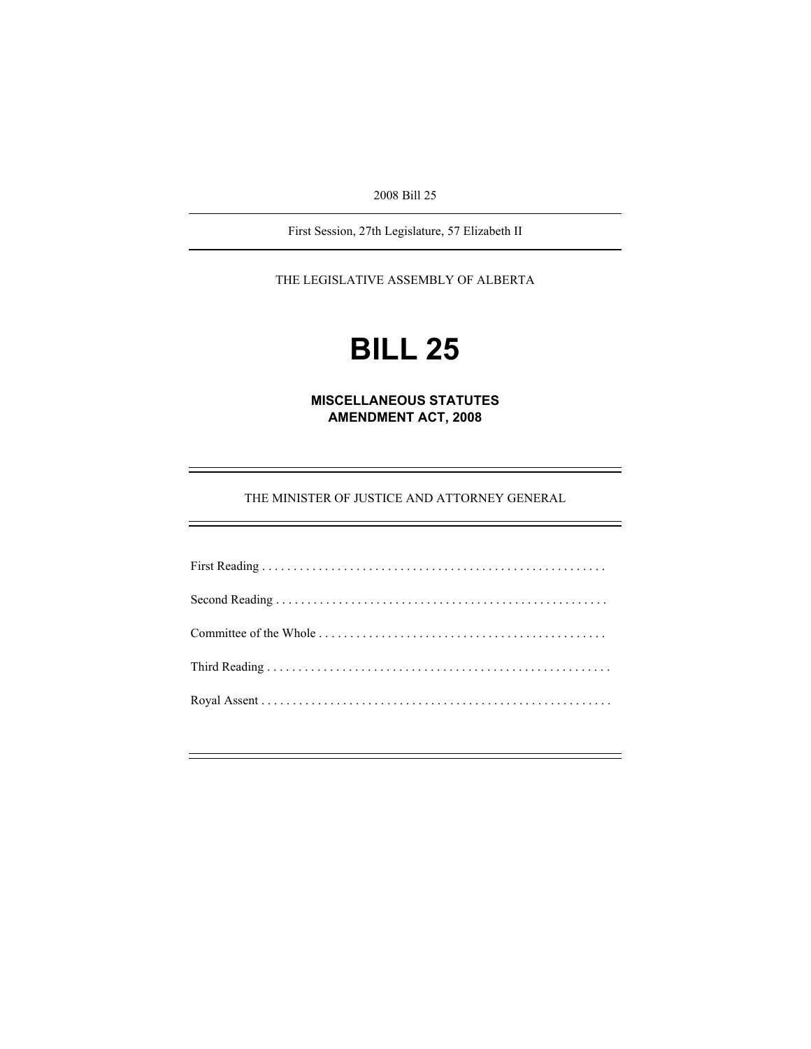2008 Bill 25

First Session, 27th Legislature, 57 Elizabeth II

THE LEGISLATIVE ASSEMBLY OF ALBERTA

# **BILL 25**

**MISCELLANEOUS STATUTES AMENDMENT ACT, 2008** 

THE MINISTER OF JUSTICE AND ATTORNEY GENERAL

÷.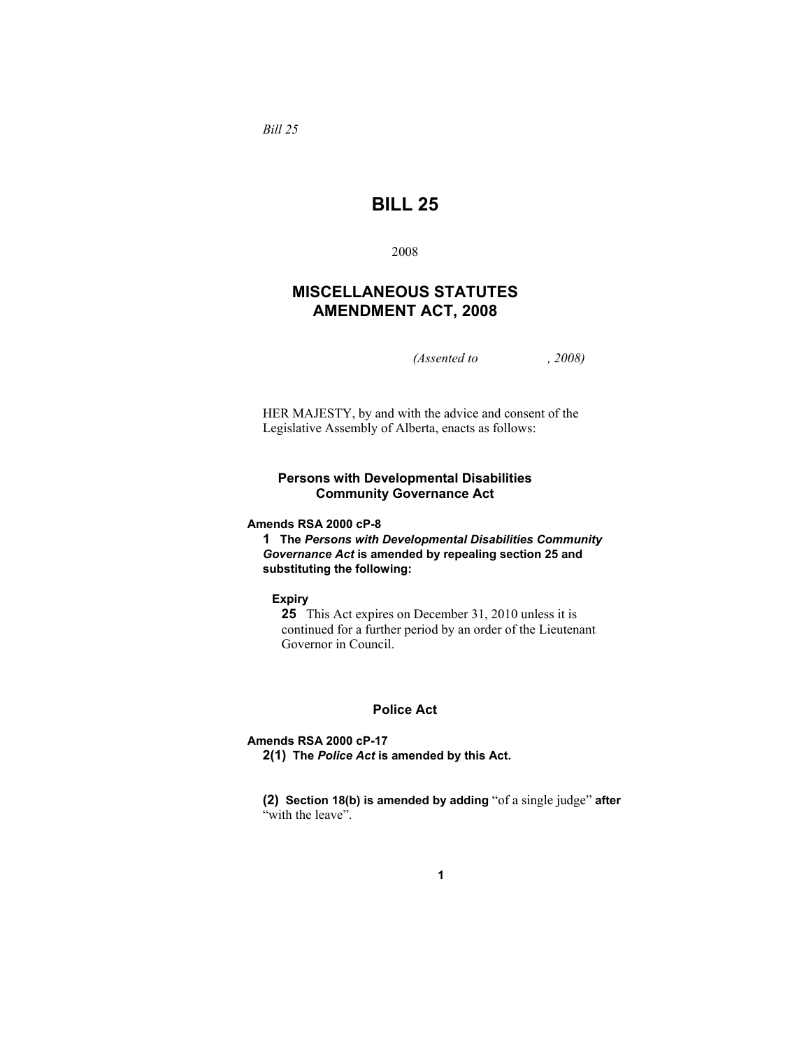*Bill 25* 

## **BILL 25**

2008

### **MISCELLANEOUS STATUTES AMENDMENT ACT, 2008**

*(Assented to , 2008)* 

HER MAJESTY, by and with the advice and consent of the Legislative Assembly of Alberta, enacts as follows:

#### **Persons with Developmental Disabilities Community Governance Act**

**Amends RSA 2000 cP-8** 

**1 The** *Persons with Developmental Disabilities Community Governance Act* **is amended by repealing section 25 and substituting the following:**

**Expiry** 

**25** This Act expires on December 31, 2010 unless it is continued for a further period by an order of the Lieutenant Governor in Council.

#### **Police Act**

**Amends RSA 2000 cP-17** 

**2(1) The** *Police Act* **is amended by this Act.** 

**(2) Section 18(b) is amended by adding** "of a single judge" **after**  "with the leave".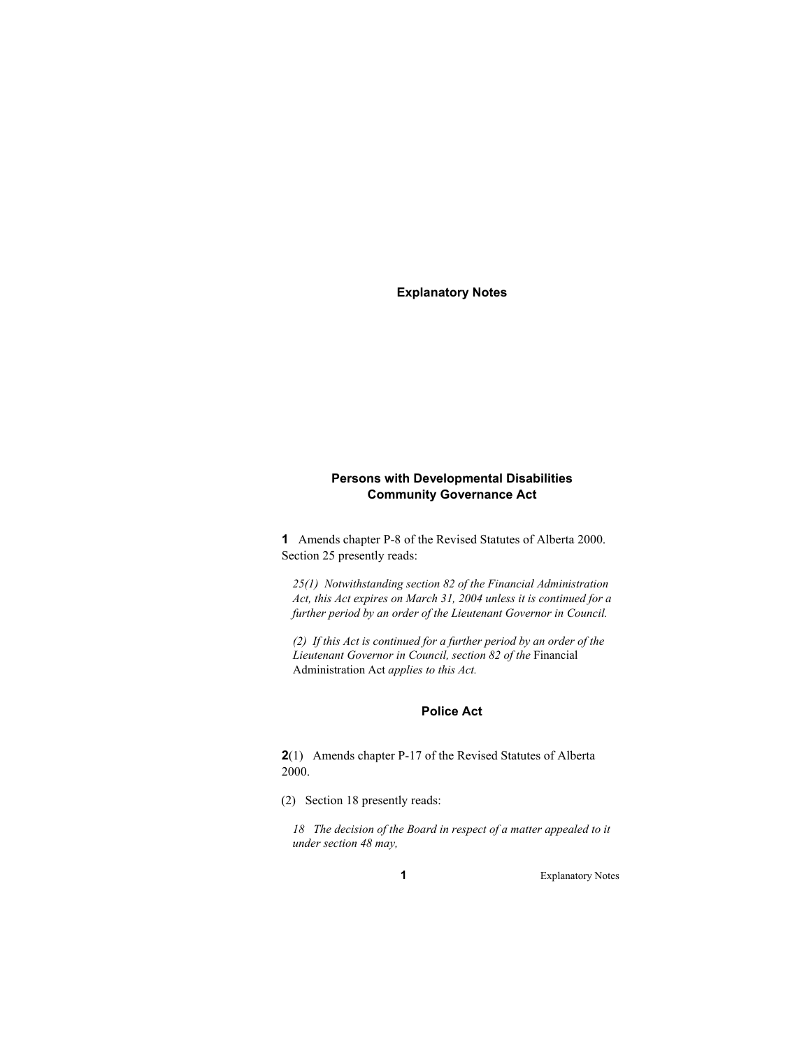**Explanatory Notes** 

#### **Persons with Developmental Disabilities Community Governance Act**

**1** Amends chapter P-8 of the Revised Statutes of Alberta 2000. Section 25 presently reads:

*25(1) Notwithstanding section 82 of the Financial Administration Act, this Act expires on March 31, 2004 unless it is continued for a further period by an order of the Lieutenant Governor in Council.* 

*(2) If this Act is continued for a further period by an order of the Lieutenant Governor in Council, section 82 of the* Financial Administration Act *applies to this Act.* 

#### **Police Act**

**2**(1) Amends chapter P-17 of the Revised Statutes of Alberta 2000.

(2) Section 18 presently reads:

*18 The decision of the Board in respect of a matter appealed to it under section 48 may,* 

**1** Explanatory Notes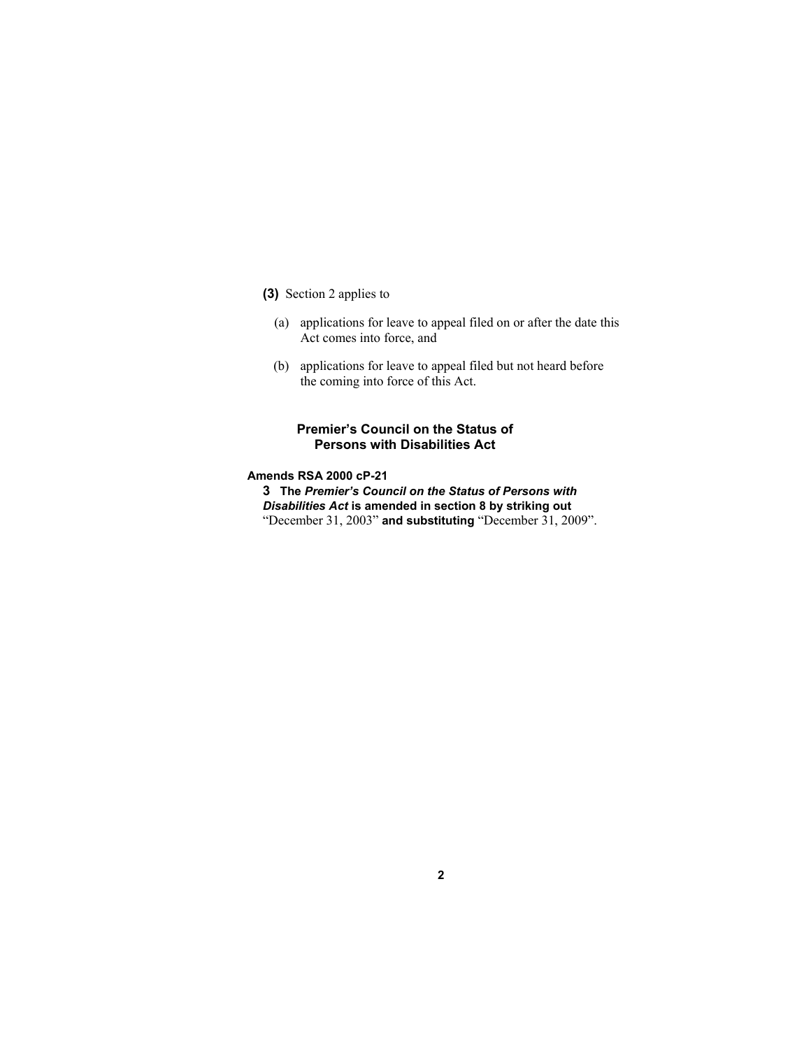- **(3)** Section 2 applies to
	- (a) applications for leave to appeal filed on or after the date this Act comes into force, and
	- (b) applications for leave to appeal filed but not heard before the coming into force of this Act.

#### **Premier's Council on the Status of Persons with Disabilities Act**

#### **Amends RSA 2000 cP-21**

**3 The** *Premier's Council on the Status of Persons with Disabilities Act* **is amended in section 8 by striking out**  "December 31, 2003" **and substituting** "December 31, 2009".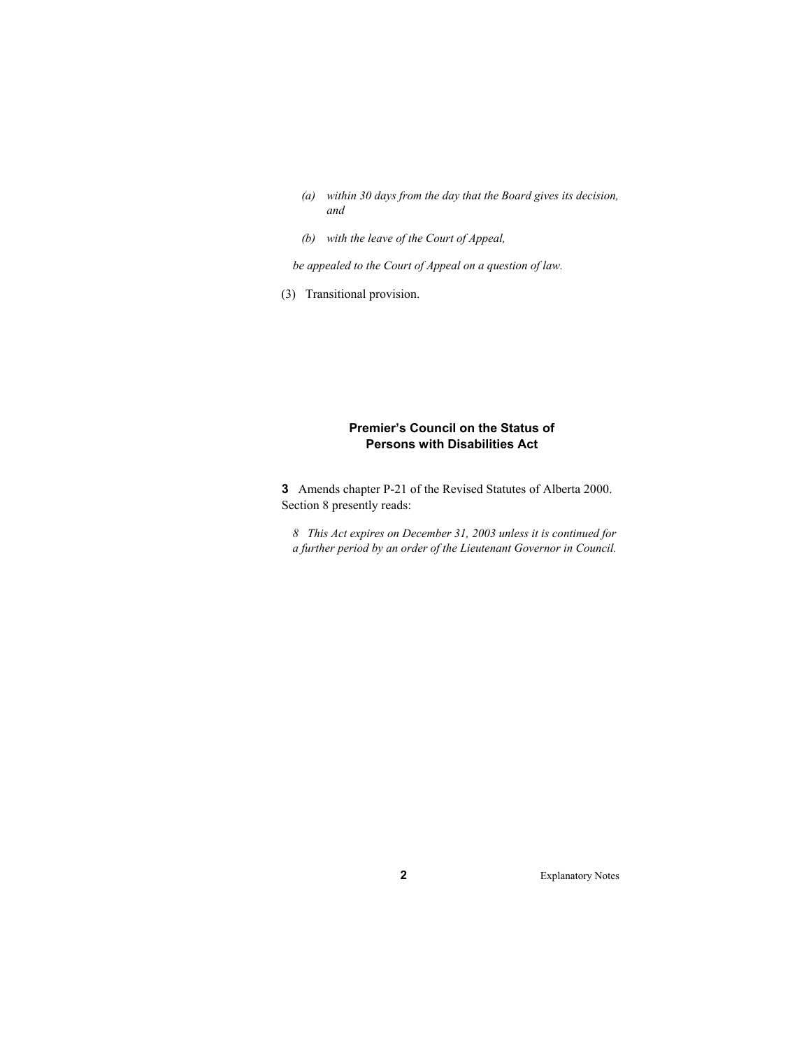- *(a) within 30 days from the day that the Board gives its decision, and*
- *(b) with the leave of the Court of Appeal,*

*be appealed to the Court of Appeal on a question of law.* 

(3) Transitional provision.

#### **Premier's Council on the Status of Persons with Disabilities Act**

**3** Amends chapter P-21 of the Revised Statutes of Alberta 2000. Section 8 presently reads:

*8 This Act expires on December 31, 2003 unless it is continued for a further period by an order of the Lieutenant Governor in Council.*